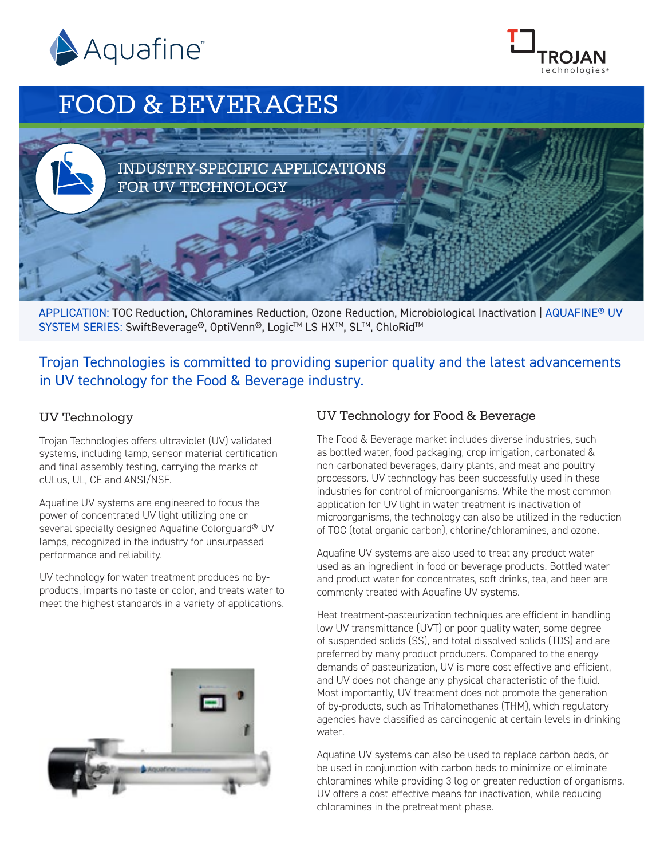



# FOOD & BEVERAGES



APPLICATION: TOC Reduction, Chloramines Reduction, Ozone Reduction, Microbiological Inactivation | AQUAFINE® UV SYSTEM SERIES: SwiftBeverage®, OptiVenn®, Logic™ LS HX™, SL™, ChloRid™

Trojan Technologies is committed to providing superior quality and the latest advancements in UV technology for the Food & Beverage industry.

# UV Technology

Trojan Technologies offers ultraviolet (UV) validated systems, including lamp, sensor material certification and final assembly testing, carrying the marks of cULus, UL, CE and ANSI/NSF.

Aquafine UV systems are engineered to focus the power of concentrated UV light utilizing one or several specially designed Aquafine Colorguard<sup>®</sup> UV lamps, recognized in the industry for unsurpassed performance and reliability.

UV technology for water treatment produces no byproducts, imparts no taste or color, and treats water to meet the highest standards in a variety of applications.



## UV Technology for Food & Beverage

The Food & Beverage market includes diverse industries, such as bottled water, food packaging, crop irrigation, carbonated & non-carbonated beverages, dairy plants, and meat and poultry processors. UV technology has been successfully used in these industries for control of microorganisms. While the most common application for UV light in water treatment is inactivation of microorganisms, the technology can also be utilized in the reduction of TOC (total organic carbon), chlorine/chloramines, and ozone.

Aquafine UV systems are also used to treat any product water used as an ingredient in food or beverage products. Bottled water and product water for concentrates, soft drinks, tea, and beer are commonly treated with Aquafine UV systems.

Heat treatment-pasteurization techniques are efficient in handling low UV transmittance (UVT) or poor quality water, some degree of suspended solids (SS), and total dissolved solids (TDS) and are preferred by many product producers. Compared to the energy demands of pasteurization, UV is more cost effective and efficient, and UV does not change any physical characteristic of the fluid. Most importantly, UV treatment does not promote the generation of by-products, such as Trihalomethanes (THM), which regulatory agencies have classified as carcinogenic at certain levels in drinking water.

Aquafine UV systems can also be used to replace carbon beds, or be used in conjunction with carbon beds to minimize or eliminate chloramines while providing 3 log or greater reduction of organisms. UV offers a cost-effective means for inactivation, while reducing chloramines in the pretreatment phase.